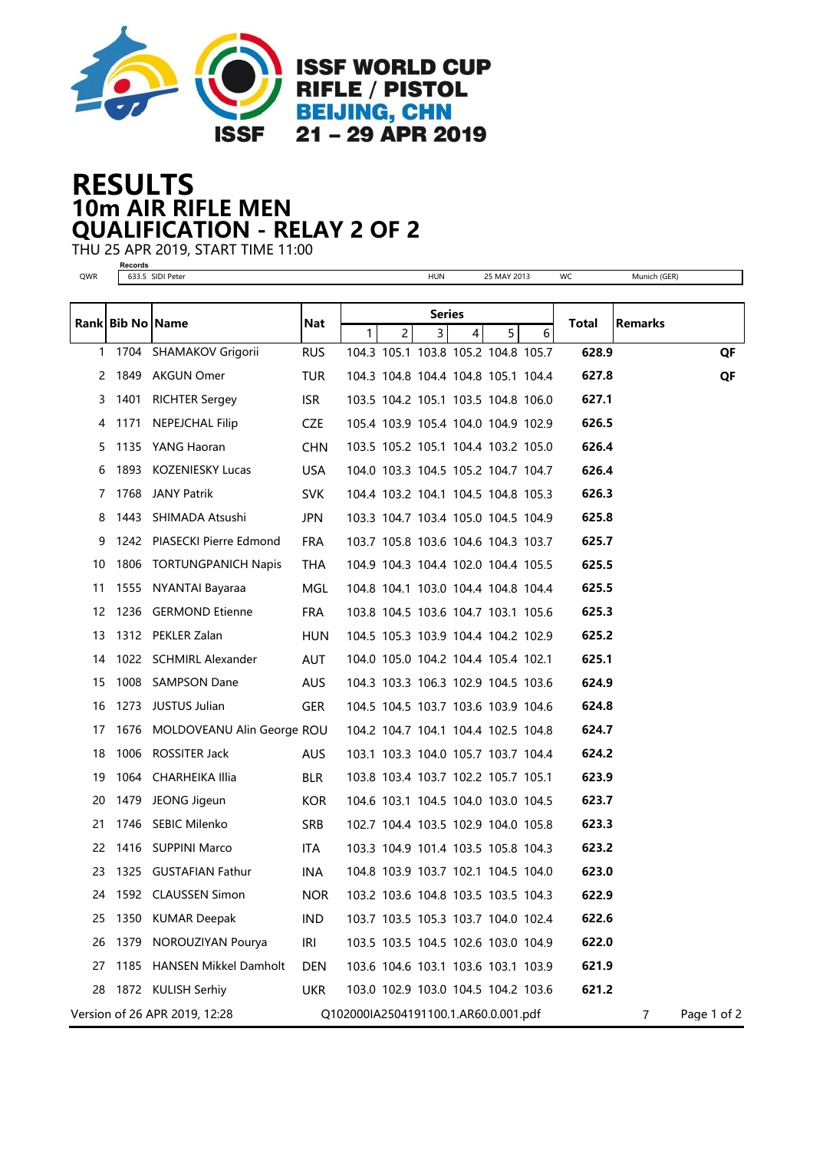

## 10m AIR RIFLE MEN RESULTS QUALIFICATION - RELAY 2 OF 2

THU 25 APR 2019, START TIME 11:00

**Records**

| QWR |                  | 633.5 SIDI Peter              |            |                                      |                | <b>HUN</b>     |   | 25 MAY 2013                         |   | WC           | Munich (GER)   |             |
|-----|------------------|-------------------------------|------------|--------------------------------------|----------------|----------------|---|-------------------------------------|---|--------------|----------------|-------------|
|     |                  |                               |            | <b>Series</b>                        |                |                |   |                                     |   |              |                |             |
|     | Rank Bib No Name |                               | Nat        | $\mathbf{1}$                         | $\overline{2}$ | $\overline{3}$ | 4 | 5                                   | 6 | <b>Total</b> | <b>Remarks</b> |             |
|     |                  | 1 1704 SHAMAKOV Grigorii      | <b>RUS</b> |                                      |                |                |   | 104.3 105.1 103.8 105.2 104.8 105.7 |   | 628.9        |                | QF          |
|     |                  | 2 1849 AKGUN Omer             | TUR        |                                      |                |                |   | 104.3 104.8 104.4 104.8 105.1 104.4 |   | 627.8        |                | QF          |
| 3   | 1401             | <b>RICHTER Sergey</b>         | <b>ISR</b> |                                      |                |                |   | 103.5 104.2 105.1 103.5 104.8 106.0 |   | 627.1        |                |             |
| 4   | 1171             | <b>NEPEJCHAL Filip</b>        | CZE        |                                      |                |                |   | 105.4 103.9 105.4 104.0 104.9 102.9 |   | 626.5        |                |             |
| 5.  |                  | 1135 YANG Haoran              | <b>CHN</b> |                                      |                |                |   | 103.5 105.2 105.1 104.4 103.2 105.0 |   | 626.4        |                |             |
| 6   | 1893             | <b>KOZENIESKY Lucas</b>       | <b>USA</b> |                                      |                |                |   | 104.0 103.3 104.5 105.2 104.7 104.7 |   | 626.4        |                |             |
| 7   | 1768             | <b>JANY Patrik</b>            | <b>SVK</b> |                                      |                |                |   | 104.4 103.2 104.1 104.5 104.8 105.3 |   | 626.3        |                |             |
| 8   | 1443             | SHIMADA Atsushi               | <b>JPN</b> |                                      |                |                |   | 103.3 104.7 103.4 105.0 104.5 104.9 |   | 625.8        |                |             |
| 9   |                  | 1242 PIASECKI Pierre Edmond   | <b>FRA</b> |                                      |                |                |   | 103.7 105.8 103.6 104.6 104.3 103.7 |   | 625.7        |                |             |
| 10  | 1806             | <b>TORTUNGPANICH Napis</b>    | THA        |                                      |                |                |   | 104.9 104.3 104.4 102.0 104.4 105.5 |   | 625.5        |                |             |
| 11  | 1555             | NYANTAI Bayaraa               | <b>MGL</b> |                                      |                |                |   | 104.8 104.1 103.0 104.4 104.8 104.4 |   | 625.5        |                |             |
| 12  |                  | 1236 GERMOND Etienne          | <b>FRA</b> |                                      |                |                |   | 103.8 104.5 103.6 104.7 103.1 105.6 |   | 625.3        |                |             |
| 13  |                  | 1312 PEKLER Zalan             | <b>HUN</b> |                                      |                |                |   | 104.5 105.3 103.9 104.4 104.2 102.9 |   | 625.2        |                |             |
| 14  |                  | 1022 SCHMIRL Alexander        | AUT        |                                      |                |                |   | 104.0 105.0 104.2 104.4 105.4 102.1 |   | 625.1        |                |             |
| 15  | 1008             | <b>SAMPSON Dane</b>           | <b>AUS</b> |                                      |                |                |   | 104.3 103.3 106.3 102.9 104.5 103.6 |   | 624.9        |                |             |
| 16  |                  | 1273 JUSTUS Julian            | GER        |                                      |                |                |   | 104.5 104.5 103.7 103.6 103.9 104.6 |   | 624.8        |                |             |
| 17  | 1676             | MOLDOVEANU Alin George ROU    |            |                                      |                |                |   | 104.2 104.7 104.1 104.4 102.5 104.8 |   | 624.7        |                |             |
| 18  |                  | 1006 ROSSITER Jack            | <b>AUS</b> |                                      |                |                |   | 103.1 103.3 104.0 105.7 103.7 104.4 |   | 624.2        |                |             |
| 19  |                  | 1064 CHARHEIKA Illia          | <b>BLR</b> |                                      |                |                |   | 103.8 103.4 103.7 102.2 105.7 105.1 |   | 623.9        |                |             |
| 20  |                  | 1479 JEONG Jigeun             | <b>KOR</b> |                                      |                |                |   | 104.6 103.1 104.5 104.0 103.0 104.5 |   | 623.7        |                |             |
| 21  |                  | 1746 SEBIC Milenko            | <b>SRB</b> |                                      |                |                |   | 102.7 104.4 103.5 102.9 104.0 105.8 |   | 623.3        |                |             |
| 22  |                  | 1416 SUPPINI Marco            | <b>ITA</b> |                                      |                |                |   | 103.3 104.9 101.4 103.5 105.8 104.3 |   | 623.2        |                |             |
| 23  |                  | 1325 GUSTAFIAN Fathur         | <b>INA</b> |                                      |                |                |   | 104.8 103.9 103.7 102.1 104.5 104.0 |   | 623.0        |                |             |
| 24  |                  | 1592 CLAUSSEN Simon           | <b>NOR</b> |                                      |                |                |   | 103.2 103.6 104.8 103.5 103.5 104.3 |   | 622.9        |                |             |
| 25  | 1350             | <b>KUMAR Deepak</b>           | <b>IND</b> |                                      |                |                |   | 103.7 103.5 105.3 103.7 104.0 102.4 |   | 622.6        |                |             |
| 26  | 1379             | NOROUZIYAN Pourya             | IRI        |                                      |                |                |   | 103.5 103.5 104.5 102.6 103.0 104.9 |   | 622.0        |                |             |
| 27  |                  | 1185 HANSEN Mikkel Damholt    | <b>DEN</b> |                                      |                |                |   | 103.6 104.6 103.1 103.6 103.1 103.9 |   | 621.9        |                |             |
| 28  |                  | 1872 KULISH Serhiy            | <b>UKR</b> |                                      |                |                |   | 103.0 102.9 103.0 104.5 104.2 103.6 |   | 621.2        |                |             |
|     |                  | Version of 26 APR 2019, 12:28 |            | Q102000IA2504191100.1.AR60.0.001.pdf |                |                |   |                                     |   |              | 7              | Page 1 of 2 |